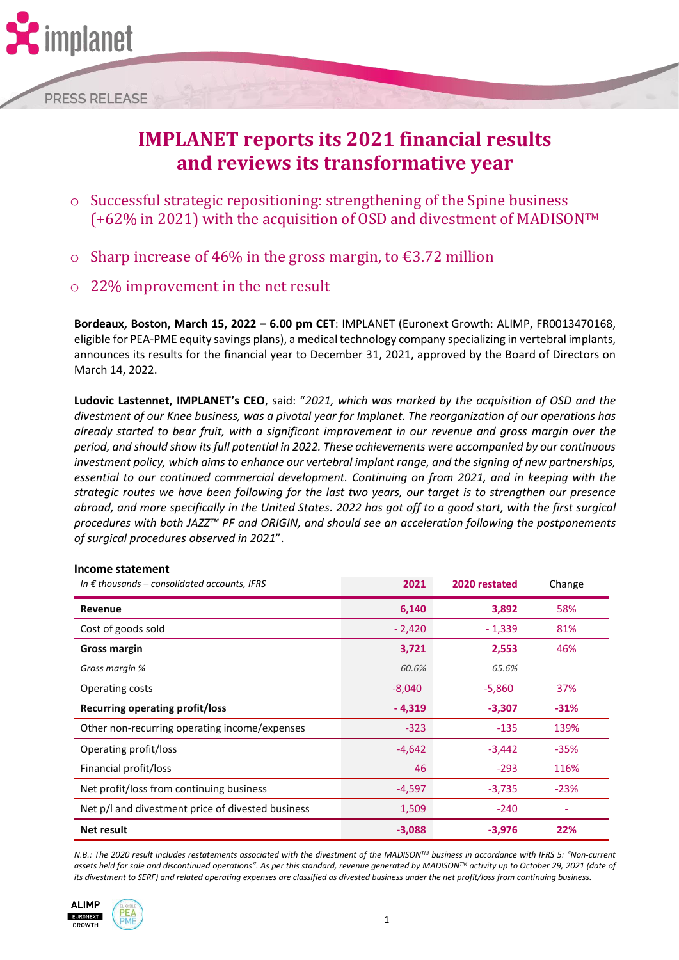

**PRESS RELEASE** 

# **IMPLANET reports its 2021 financial results and reviews its transformative year**

- o Successful strategic repositioning: strengthening of the Spine business (+62% in 2021) with the acquisition of OSD and divestment of MADISONTM
- o Sharp increase of 46% in the gross margin, to  $\epsilon$ 3.72 million
- 22% improvement in the net result

**Bordeaux, Boston, March 15, 2022 – 6.00 pm CET**: IMPLANET (Euronext Growth: ALIMP, FR0013470168, eligible for PEA-PME equity savings plans), a medical technology company specializing in vertebral implants, announces its results for the financial year to December 31, 2021, approved by the Board of Directors on March 14, 2022.

**Ludovic Lastennet, IMPLANET's CEO**, said: "*2021, which was marked by the acquisition of OSD and the divestment of our Knee business, was a pivotal year for Implanet. The reorganization of our operations has already started to bear fruit, with a significant improvement in our revenue and gross margin over the period, and should show its full potential in 2022. These achievements were accompanied by our continuous investment policy, which aims to enhance our vertebral implant range, and the signing of new partnerships, essential to our continued commercial development. Continuing on from 2021, and in keeping with the strategic routes we have been following for the last two years, our target is to strengthen our presence abroad, and more specifically in the United States. 2022 has got off to a good start, with the first surgical procedures with both JAZZ™ PF and ORIGIN, and should see an acceleration following the postponements of surgical procedures observed in 2021*".

| Income statement                                      | 2021     | 2020 restated | Change |
|-------------------------------------------------------|----------|---------------|--------|
| In $\epsilon$ thousands – consolidated accounts, IFRS |          |               |        |
| Revenue                                               | 6,140    | 3,892         | 58%    |
| Cost of goods sold                                    | $-2,420$ | $-1,339$      | 81%    |
| Gross margin                                          | 3,721    | 2,553         | 46%    |
| Gross margin %                                        | 60.6%    | 65.6%         |        |
| Operating costs                                       | $-8,040$ | $-5,860$      | 37%    |
| Recurring operating profit/loss                       | $-4,319$ | $-3,307$      | $-31%$ |
| Other non-recurring operating income/expenses         | $-323$   | $-135$        | 139%   |
| Operating profit/loss                                 | $-4,642$ | $-3,442$      | $-35%$ |
| Financial profit/loss                                 | 46       | $-293$        | 116%   |
| Net profit/loss from continuing business              | $-4,597$ | $-3,735$      | $-23%$ |
| Net p/l and divestment price of divested business     | 1,509    | $-240$        |        |
| Net result                                            | $-3,088$ | $-3,976$      | 22%    |

*N.B.: The 2020 result includes restatements associated with the divestment of the MADISONTM business in accordance with IFRS 5: "Non-current assets held for sale and discontinued operations". As per this standard, revenue generated by MADISONTM activity up to October 29, 2021 (date of its divestment to SERF) and related operating expenses are classified as divested business under the net profit/loss from continuing business.*



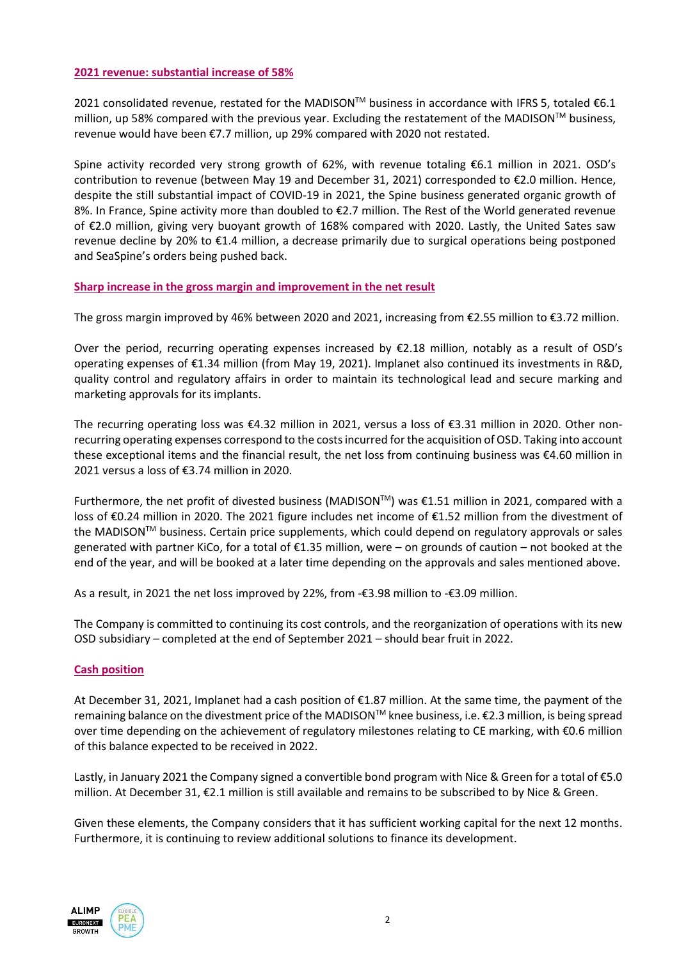#### **2021 revenue: substantial increase of 58%**

2021 consolidated revenue, restated for the MADISON™ business in accordance with IFRS 5, totaled €6.1 million, up 58% compared with the previous year. Excluding the restatement of the MADISON™ business, revenue would have been €7.7 million, up 29% compared with 2020 not restated.

Spine activity recorded very strong growth of 62%, with revenue totaling €6.1 million in 2021. OSD's contribution to revenue (between May 19 and December 31, 2021) corresponded to €2.0 million. Hence, despite the still substantial impact of COVID-19 in 2021, the Spine business generated organic growth of 8%. In France, Spine activity more than doubled to €2.7 million. The Rest of the World generated revenue of €2.0 million, giving very buoyant growth of 168% compared with 2020. Lastly, the United Sates saw revenue decline by 20% to €1.4 million, a decrease primarily due to surgical operations being postponed and SeaSpine's orders being pushed back.

## **Sharp increase in the gross margin and improvement in the net result**

The gross margin improved by 46% between 2020 and 2021, increasing from €2.55 million to €3.72 million.

Over the period, recurring operating expenses increased by  $E2.18$  million, notably as a result of OSD's operating expenses of €1.34 million (from May 19, 2021). Implanet also continued its investments in R&D, quality control and regulatory affairs in order to maintain its technological lead and secure marking and marketing approvals for its implants.

The recurring operating loss was €4.32 million in 2021, versus a loss of €3.31 million in 2020. Other nonrecurring operating expenses correspond to the costs incurred for the acquisition of OSD. Taking into account these exceptional items and the financial result, the net loss from continuing business was €4.60 million in 2021 versus a loss of €3.74 million in 2020.

Furthermore, the net profit of divested business (MADISONTM) was €1.51 million in 2021, compared with a loss of €0.24 million in 2020. The 2021 figure includes net income of €1.52 million from the divestment of the MADISON™ business. Certain price supplements, which could depend on regulatory approvals or sales generated with partner KiCo, for a total of €1.35 million, were – on grounds of caution – not booked at the end of the year, and will be booked at a later time depending on the approvals and sales mentioned above.

As a result, in 2021 the net loss improved by 22%, from -€3.98 million to -€3.09 million.

The Company is committed to continuing its cost controls, and the reorganization of operations with its new OSD subsidiary – completed at the end of September 2021 – should bear fruit in 2022.

#### **Cash position**

At December 31, 2021, Implanet had a cash position of €1.87 million. At the same time, the payment of the remaining balance on the divestment price of the MADISON™ knee business, i.e. €2.3 million, is being spread over time depending on the achievement of regulatory milestones relating to CE marking, with €0.6 million of this balance expected to be received in 2022.

Lastly, in January 2021 the Company signed a convertible bond program with Nice & Green for a total of €5.0 million. At December 31, €2.1 million is still available and remains to be subscribed to by Nice & Green.

Given these elements, the Company considers that it has sufficient working capital for the next 12 months. Furthermore, it is continuing to review additional solutions to finance its development.



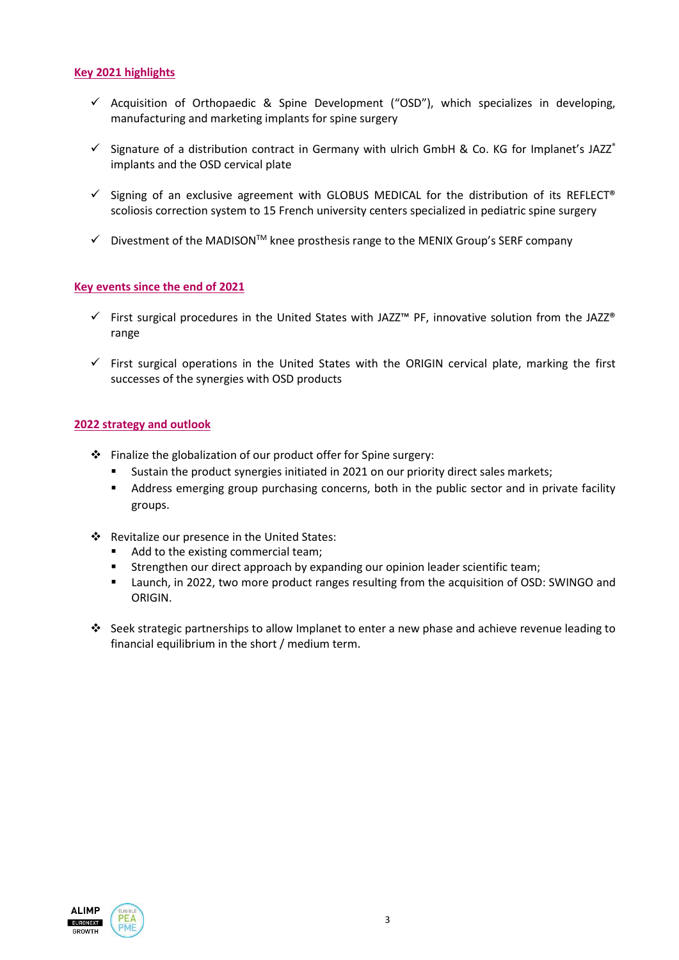### **Key 2021 highlights**

- $\checkmark$  Acquisition of Orthopaedic & Spine Development ("OSD"), which specializes in developing, manufacturing and marketing implants for spine surgery
- $\checkmark$  Signature of a distribution contract in Germany with ulrich GmbH & Co. KG for Implanet's JAZZ® implants and the OSD cervical plate
- $\checkmark$  Signing of an exclusive agreement with GLOBUS MEDICAL for the distribution of its REFLECT® scoliosis correction system to 15 French university centers specialized in pediatric spine surgery
- ✓ Divestment of the MADISONTM knee prosthesis range to the MENIX Group's SERF company

### **Key events since the end of 2021**

- ✓ First surgical procedures in the United States with JAZZ™ PF, innovative solution from the JAZZ® range
- $\checkmark$  First surgical operations in the United States with the ORIGIN cervical plate, marking the first successes of the synergies with OSD products

#### **2022 strategy and outlook**

- ❖ Finalize the globalization of our product offer for Spine surgery:
	- Sustain the product synergies initiated in 2021 on our priority direct sales markets;
	- Address emerging group purchasing concerns, both in the public sector and in private facility groups.
- ❖ Revitalize our presence in the United States:
	- Add to the existing commercial team;
	- Strengthen our direct approach by expanding our opinion leader scientific team;
	- Launch, in 2022, two more product ranges resulting from the acquisition of OSD: SWINGO and ORIGIN.
- ❖ Seek strategic partnerships to allow Implanet to enter a new phase and achieve revenue leading to financial equilibrium in the short / medium term.